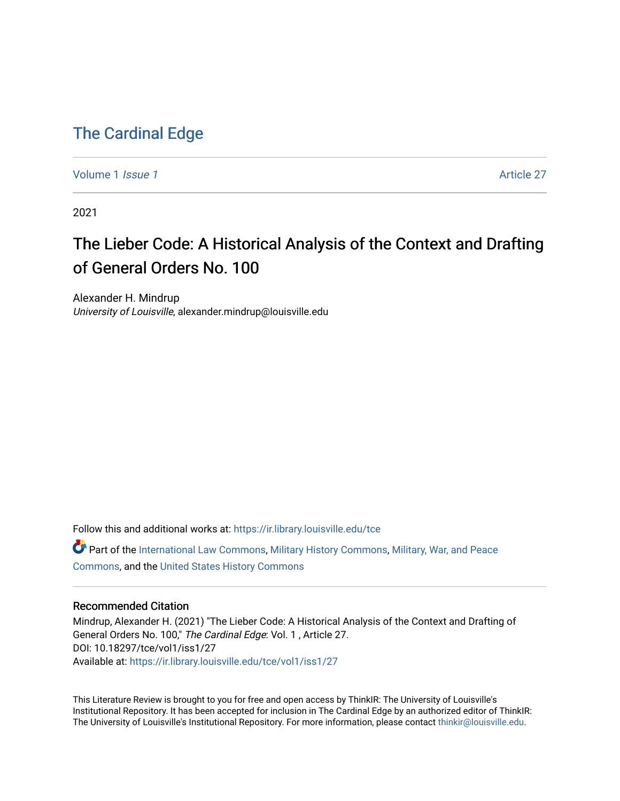## [The Cardinal Edge](https://ir.library.louisville.edu/tce)

[Volume 1](https://ir.library.louisville.edu/tce/vol1) *Issue 1* Article 27

2021

# The Lieber Code: A Historical Analysis of the Context and Drafting of General Orders No. 100

Alexander H. Mindrup University of Louisville, alexander.mindrup@louisville.edu

Follow this and additional works at: [https://ir.library.louisville.edu/tce](https://ir.library.louisville.edu/tce?utm_source=ir.library.louisville.edu%2Ftce%2Fvol1%2Fiss1%2F27&utm_medium=PDF&utm_campaign=PDFCoverPages)

Part of the [International Law Commons,](http://network.bepress.com/hgg/discipline/609?utm_source=ir.library.louisville.edu%2Ftce%2Fvol1%2Fiss1%2F27&utm_medium=PDF&utm_campaign=PDFCoverPages) [Military History Commons,](http://network.bepress.com/hgg/discipline/504?utm_source=ir.library.louisville.edu%2Ftce%2Fvol1%2Fiss1%2F27&utm_medium=PDF&utm_campaign=PDFCoverPages) [Military, War, and Peace](http://network.bepress.com/hgg/discipline/861?utm_source=ir.library.louisville.edu%2Ftce%2Fvol1%2Fiss1%2F27&utm_medium=PDF&utm_campaign=PDFCoverPages)  [Commons](http://network.bepress.com/hgg/discipline/861?utm_source=ir.library.louisville.edu%2Ftce%2Fvol1%2Fiss1%2F27&utm_medium=PDF&utm_campaign=PDFCoverPages), and the [United States History Commons](http://network.bepress.com/hgg/discipline/495?utm_source=ir.library.louisville.edu%2Ftce%2Fvol1%2Fiss1%2F27&utm_medium=PDF&utm_campaign=PDFCoverPages) 

#### Recommended Citation

Mindrup, Alexander H. (2021) "The Lieber Code: A Historical Analysis of the Context and Drafting of General Orders No. 100," The Cardinal Edge: Vol. 1 , Article 27. DOI: 10.18297/tce/vol1/iss1/27 Available at: [https://ir.library.louisville.edu/tce/vol1/iss1/27](https://ir.library.louisville.edu/tce/vol1/iss1/27?utm_source=ir.library.louisville.edu%2Ftce%2Fvol1%2Fiss1%2F27&utm_medium=PDF&utm_campaign=PDFCoverPages) 

This Literature Review is brought to you for free and open access by ThinkIR: The University of Louisville's Institutional Repository. It has been accepted for inclusion in The Cardinal Edge by an authorized editor of ThinkIR: The University of Louisville's Institutional Repository. For more information, please contact [thinkir@louisville.edu.](mailto:thinkir@louisville.edu)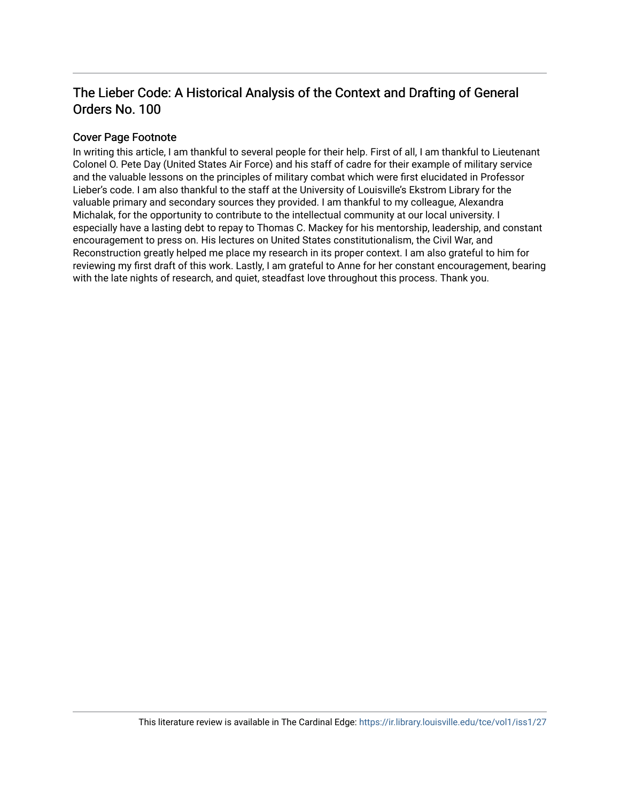### The Lieber Code: A Historical Analysis of the Context and Drafting of General Orders No. 100

#### Cover Page Footnote

In writing this article, I am thankful to several people for their help. First of all, I am thankful to Lieutenant Colonel O. Pete Day (United States Air Force) and his staff of cadre for their example of military service and the valuable lessons on the principles of military combat which were first elucidated in Professor Lieber's code. I am also thankful to the staff at the University of Louisville's Ekstrom Library for the valuable primary and secondary sources they provided. I am thankful to my colleague, Alexandra Michalak, for the opportunity to contribute to the intellectual community at our local university. I especially have a lasting debt to repay to Thomas C. Mackey for his mentorship, leadership, and constant encouragement to press on. His lectures on United States constitutionalism, the Civil War, and Reconstruction greatly helped me place my research in its proper context. I am also grateful to him for reviewing my first draft of this work. Lastly, I am grateful to Anne for her constant encouragement, bearing with the late nights of research, and quiet, steadfast love throughout this process. Thank you.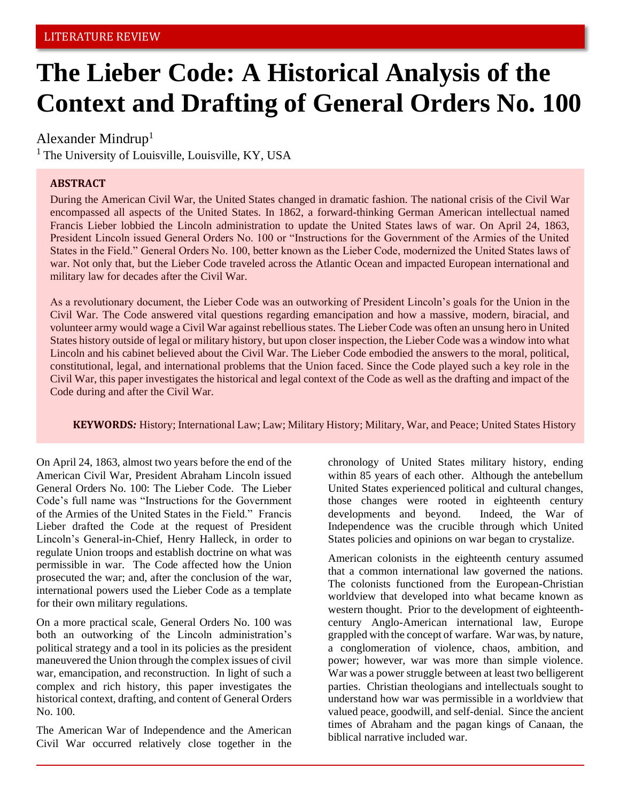# **The Lieber Code: A Historical Analysis of the Context and Drafting of General Orders No. 100**

#### Alexander Mindrup<sup>1</sup>

 $<sup>1</sup>$  The University of Louisville, Louisville, KY, USA</sup>

#### **ABSTRACT**

During the American Civil War, the United States changed in dramatic fashion. The national crisis of the Civil War encompassed all aspects of the United States. In 1862, a forward-thinking German American intellectual named Francis Lieber lobbied the Lincoln administration to update the United States laws of war. On April 24, 1863, President Lincoln issued General Orders No. 100 or "Instructions for the Government of the Armies of the United States in the Field." General Orders No. 100, better known as the Lieber Code, modernized the United States laws of war. Not only that, but the Lieber Code traveled across the Atlantic Ocean and impacted European international and military law for decades after the Civil War.

As a revolutionary document, the Lieber Code was an outworking of President Lincoln's goals for the Union in the Civil War. The Code answered vital questions regarding emancipation and how a massive, modern, biracial, and volunteer army would wage a Civil War against rebellious states. The Lieber Code was often an unsung hero in United States history outside of legal or military history, but upon closer inspection, the Lieber Code was a window into what Lincoln and his cabinet believed about the Civil War. The Lieber Code embodied the answers to the moral, political, constitutional, legal, and international problems that the Union faced. Since the Code played such a key role in the Civil War, this paper investigates the historical and legal context of the Code as well as the drafting and impact of the Code during and after the Civil War.

**KEYWORDS***:* History; International Law; Law; Military History; Military, War, and Peace; United States History

On April 24, 1863, almost two years before the end of the American Civil War, President Abraham Lincoln issued General Orders No. 100: The Lieber Code. The Lieber Code's full name was "Instructions for the Government of the Armies of the United States in the Field." Francis Lieber drafted the Code at the request of President Lincoln's General-in-Chief, Henry Halleck, in order to regulate Union troops and establish doctrine on what was permissible in war. The Code affected how the Union prosecuted the war; and, after the conclusion of the war, international powers used the Lieber Code as a template for their own military regulations.

On a more practical scale, General Orders No. 100 was both an outworking of the Lincoln administration's political strategy and a tool in its policies as the president maneuvered the Union through the complex issues of civil war, emancipation, and reconstruction. In light of such a complex and rich history, this paper investigates the historical context, drafting, and content of General Orders No. 100.

The American War of Independence and the American Civil War occurred relatively close together in the chronology of United States military history, ending within 85 years of each other. Although the antebellum United States experienced political and cultural changes, those changes were rooted in eighteenth century developments and beyond. Indeed, the War of Independence was the crucible through which United States policies and opinions on war began to crystalize.

American colonists in the eighteenth century assumed that a common international law governed the nations. The colonists functioned from the European-Christian worldview that developed into what became known as western thought. Prior to the development of eighteenthcentury Anglo-American international law, Europe grappled with the concept of warfare. War was, by nature, a conglomeration of violence, chaos, ambition, and power; however, war was more than simple violence. War was a power struggle between at least two belligerent parties. Christian theologians and intellectuals sought to understand how war was permissible in a worldview that valued peace, goodwill, and self-denial. Since the ancient times of Abraham and the pagan kings of Canaan, the biblical narrative included war.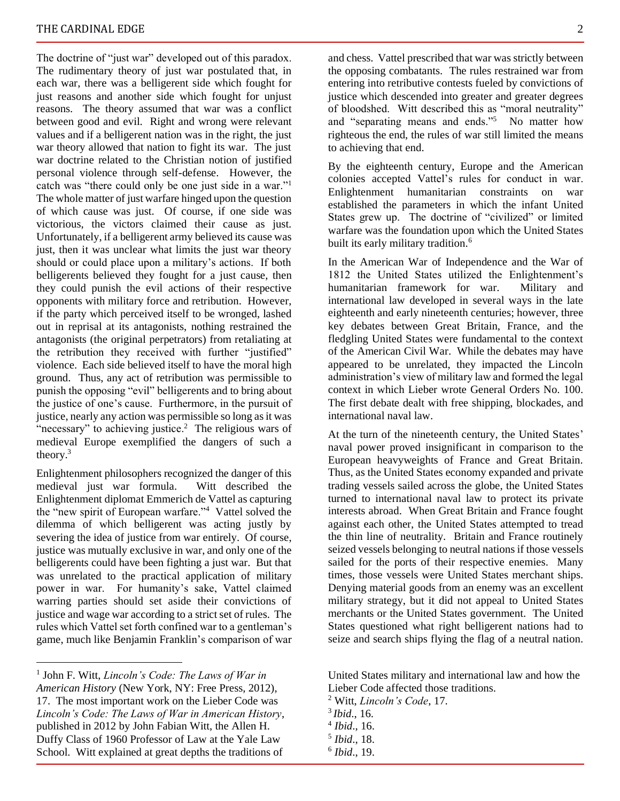The doctrine of "just war" developed out of this paradox. The rudimentary theory of just war postulated that, in each war, there was a belligerent side which fought for just reasons and another side which fought for unjust reasons. The theory assumed that war was a conflict between good and evil. Right and wrong were relevant values and if a belligerent nation was in the right, the just war theory allowed that nation to fight its war. The just war doctrine related to the Christian notion of justified personal violence through self-defense. However, the catch was "there could only be one just side in a war."<sup>1</sup> The whole matter of just warfare hinged upon the question of which cause was just. Of course, if one side was victorious, the victors claimed their cause as just. Unfortunately, if a belligerent army believed its cause was just, then it was unclear what limits the just war theory should or could place upon a military's actions. If both belligerents believed they fought for a just cause, then they could punish the evil actions of their respective opponents with military force and retribution. However, if the party which perceived itself to be wronged, lashed out in reprisal at its antagonists, nothing restrained the antagonists (the original perpetrators) from retaliating at the retribution they received with further "justified" violence. Each side believed itself to have the moral high ground. Thus, any act of retribution was permissible to punish the opposing "evil" belligerents and to bring about the justice of one's cause. Furthermore, in the pursuit of justice, nearly any action was permissible so long as it was "necessary" to achieving justice.<sup>2</sup> The religious wars of medieval Europe exemplified the dangers of such a theory.<sup>3</sup>

Enlightenment philosophers recognized the danger of this medieval just war formula. Witt described the Enlightenment diplomat Emmerich de Vattel as capturing the "new spirit of European warfare."<sup>4</sup> Vattel solved the dilemma of which belligerent was acting justly by severing the idea of justice from war entirely. Of course, justice was mutually exclusive in war, and only one of the belligerents could have been fighting a just war. But that was unrelated to the practical application of military power in war. For humanity's sake, Vattel claimed warring parties should set aside their convictions of justice and wage war according to a strict set of rules. The rules which Vattel set forth confined war to a gentleman's game, much like Benjamin Franklin's comparison of war

and chess. Vattel prescribed that war was strictly between the opposing combatants. The rules restrained war from entering into retributive contests fueled by convictions of justice which descended into greater and greater degrees of bloodshed. Witt described this as "moral neutrality" and "separating means and ends."<sup>5</sup> No matter how righteous the end, the rules of war still limited the means to achieving that end.

By the eighteenth century, Europe and the American colonies accepted Vattel's rules for conduct in war. Enlightenment humanitarian constraints on war established the parameters in which the infant United States grew up. The doctrine of "civilized" or limited warfare was the foundation upon which the United States built its early military tradition.<sup>6</sup>

In the American War of Independence and the War of 1812 the United States utilized the Enlightenment's humanitarian framework for war. Military and international law developed in several ways in the late eighteenth and early nineteenth centuries; however, three key debates between Great Britain, France, and the fledgling United States were fundamental to the context of the American Civil War. While the debates may have appeared to be unrelated, they impacted the Lincoln administration's view of military law and formed the legal context in which Lieber wrote General Orders No. 100. The first debate dealt with free shipping, blockades, and international naval law.

At the turn of the nineteenth century, the United States' naval power proved insignificant in comparison to the European heavyweights of France and Great Britain. Thus, as the United States economy expanded and private trading vessels sailed across the globe, the United States turned to international naval law to protect its private interests abroad. When Great Britain and France fought against each other, the United States attempted to tread the thin line of neutrality. Britain and France routinely seized vessels belonging to neutral nations if those vessels sailed for the ports of their respective enemies. Many times, those vessels were United States merchant ships. Denying material goods from an enemy was an excellent military strategy, but it did not appeal to United States merchants or the United States government. The United States questioned what right belligerent nations had to seize and search ships flying the flag of a neutral nation.

United States military and international law and how the Lieber Code affected those traditions.

<sup>2</sup> Witt, *Lincoln's Code*, 17.

<sup>1</sup> John F. Witt, *Lincoln's Code: The Laws of War in American History* (New York, NY: Free Press, 2012), 17. The most important work on the Lieber Code was *Lincoln's Code: The Laws of War in American History*, published in 2012 by John Fabian Witt, the Allen H. Duffy Class of 1960 Professor of Law at the Yale Law School. Witt explained at great depths the traditions of

<sup>3</sup> *Ibid*., 16.

<sup>4</sup> *Ibid*., 16.

<sup>5</sup> *Ibid*., 18.

<sup>6</sup> *Ibid*., 19.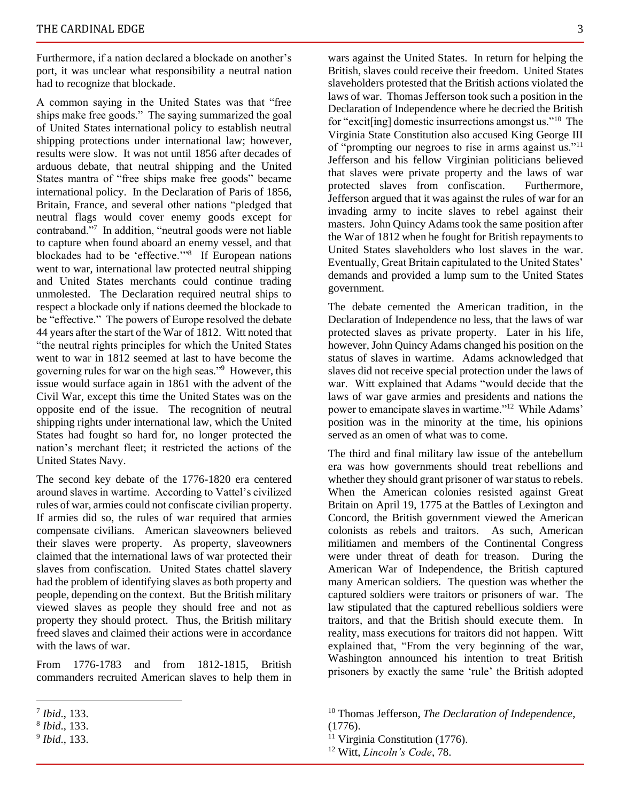Furthermore, if a nation declared a blockade on another's port, it was unclear what responsibility a neutral nation had to recognize that blockade.

A common saying in the United States was that "free ships make free goods." The saying summarized the goal of United States international policy to establish neutral shipping protections under international law; however, results were slow. It was not until 1856 after decades of arduous debate, that neutral shipping and the United States mantra of "free ships make free goods" became international policy. In the Declaration of Paris of 1856, Britain, France, and several other nations "pledged that neutral flags would cover enemy goods except for contraband."<sup>7</sup> In addition, "neutral goods were not liable to capture when found aboard an enemy vessel, and that blockades had to be 'effective.'"<sup>8</sup> If European nations went to war, international law protected neutral shipping and United States merchants could continue trading unmolested. The Declaration required neutral ships to respect a blockade only if nations deemed the blockade to be "effective." The powers of Europe resolved the debate 44 years after the start of the War of 1812. Witt noted that "the neutral rights principles for which the United States went to war in 1812 seemed at last to have become the governing rules for war on the high seas."<sup>9</sup> However, this issue would surface again in 1861 with the advent of the Civil War, except this time the United States was on the opposite end of the issue. The recognition of neutral shipping rights under international law, which the United States had fought so hard for, no longer protected the nation's merchant fleet; it restricted the actions of the United States Navy.

The second key debate of the 1776-1820 era centered around slaves in wartime. According to Vattel's civilized rules of war, armies could not confiscate civilian property. If armies did so, the rules of war required that armies compensate civilians. American slaveowners believed their slaves were property. As property, slaveowners claimed that the international laws of war protected their slaves from confiscation. United States chattel slavery had the problem of identifying slaves as both property and people, depending on the context. But the British military viewed slaves as people they should free and not as property they should protect. Thus, the British military freed slaves and claimed their actions were in accordance with the laws of war.

From 1776-1783 and from 1812-1815, British commanders recruited American slaves to help them in wars against the United States. In return for helping the British, slaves could receive their freedom. United States slaveholders protested that the British actions violated the laws of war. Thomas Jefferson took such a position in the Declaration of Independence where he decried the British for "excit[ing] domestic insurrections amongst us."<sup>10</sup> The Virginia State Constitution also accused King George III of "prompting our negroes to rise in arms against us."<sup>11</sup> Jefferson and his fellow Virginian politicians believed that slaves were private property and the laws of war protected slaves from confiscation. Furthermore, Jefferson argued that it was against the rules of war for an invading army to incite slaves to rebel against their masters. John Quincy Adams took the same position after the War of 1812 when he fought for British repayments to United States slaveholders who lost slaves in the war. Eventually, Great Britain capitulated to the United States' demands and provided a lump sum to the United States government.

The debate cemented the American tradition, in the Declaration of Independence no less, that the laws of war protected slaves as private property. Later in his life, however, John Quincy Adams changed his position on the status of slaves in wartime. Adams acknowledged that slaves did not receive special protection under the laws of war. Witt explained that Adams "would decide that the laws of war gave armies and presidents and nations the power to emancipate slaves in wartime."<sup>12</sup> While Adams' position was in the minority at the time, his opinions served as an omen of what was to come.

The third and final military law issue of the antebellum era was how governments should treat rebellions and whether they should grant prisoner of war status to rebels. When the American colonies resisted against Great Britain on April 19, 1775 at the Battles of Lexington and Concord, the British government viewed the American colonists as rebels and traitors. As such, American militiamen and members of the Continental Congress were under threat of death for treason. During the American War of Independence, the British captured many American soldiers. The question was whether the captured soldiers were traitors or prisoners of war. The law stipulated that the captured rebellious soldiers were traitors, and that the British should execute them. In reality, mass executions for traitors did not happen. Witt explained that, "From the very beginning of the war, Washington announced his intention to treat British prisoners by exactly the same 'rule' the British adopted

<sup>7</sup> *Ibid*., 133.

<sup>8</sup> *Ibid*., 133.

<sup>9</sup> *Ibid*., 133.

<sup>10</sup> Thomas Jefferson, *The Declaration of Independence*, (1776).

 $11$  Virginia Constitution (1776).

<sup>12</sup> Witt, *Lincoln's Code*, 78.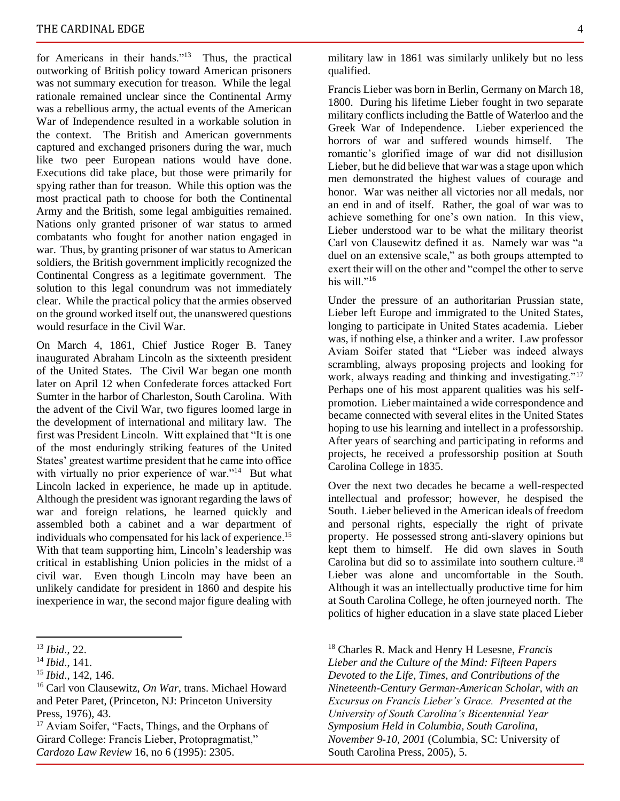for Americans in their hands."<sup>13</sup> Thus, the practical outworking of British policy toward American prisoners was not summary execution for treason. While the legal rationale remained unclear since the Continental Army was a rebellious army, the actual events of the American War of Independence resulted in a workable solution in the context. The British and American governments captured and exchanged prisoners during the war, much like two peer European nations would have done. Executions did take place, but those were primarily for spying rather than for treason. While this option was the most practical path to choose for both the Continental Army and the British, some legal ambiguities remained. Nations only granted prisoner of war status to armed combatants who fought for another nation engaged in war. Thus, by granting prisoner of war status to American soldiers, the British government implicitly recognized the Continental Congress as a legitimate government. The solution to this legal conundrum was not immediately clear. While the practical policy that the armies observed on the ground worked itself out, the unanswered questions would resurface in the Civil War.

On March 4, 1861, Chief Justice Roger B. Taney inaugurated Abraham Lincoln as the sixteenth president of the United States. The Civil War began one month later on April 12 when Confederate forces attacked Fort Sumter in the harbor of Charleston, South Carolina. With the advent of the Civil War, two figures loomed large in the development of international and military law. The first was President Lincoln. Witt explained that "It is one of the most enduringly striking features of the United States' greatest wartime president that he came into office with virtually no prior experience of war."<sup>14</sup> But what Lincoln lacked in experience, he made up in aptitude. Although the president was ignorant regarding the laws of war and foreign relations, he learned quickly and assembled both a cabinet and a war department of individuals who compensated for his lack of experience.<sup>15</sup> With that team supporting him, Lincoln's leadership was critical in establishing Union policies in the midst of a civil war. Even though Lincoln may have been an unlikely candidate for president in 1860 and despite his inexperience in war, the second major figure dealing with

<sup>17</sup> Aviam Soifer, "Facts, Things, and the Orphans of Girard College: Francis Lieber, Protopragmatist," *Cardozo Law Review* 16, no 6 (1995): 2305.

military law in 1861 was similarly unlikely but no less qualified.

Francis Lieber was born in Berlin, Germany on March 18, 1800. During his lifetime Lieber fought in two separate military conflicts including the Battle of Waterloo and the Greek War of Independence. Lieber experienced the horrors of war and suffered wounds himself. The romantic's glorified image of war did not disillusion Lieber, but he did believe that war was a stage upon which men demonstrated the highest values of courage and honor. War was neither all victories nor all medals, nor an end in and of itself. Rather, the goal of war was to achieve something for one's own nation. In this view, Lieber understood war to be what the military theorist Carl von Clausewitz defined it as. Namely war was "a duel on an extensive scale," as both groups attempted to exert their will on the other and "compel the other to serve his will."<sup>16</sup>

Under the pressure of an authoritarian Prussian state, Lieber left Europe and immigrated to the United States, longing to participate in United States academia. Lieber was, if nothing else, a thinker and a writer. Law professor Aviam Soifer stated that "Lieber was indeed always scrambling, always proposing projects and looking for work, always reading and thinking and investigating."<sup>17</sup> Perhaps one of his most apparent qualities was his selfpromotion. Lieber maintained a wide correspondence and became connected with several elites in the United States hoping to use his learning and intellect in a professorship. After years of searching and participating in reforms and projects, he received a professorship position at South Carolina College in 1835.

Over the next two decades he became a well-respected intellectual and professor; however, he despised the South. Lieber believed in the American ideals of freedom and personal rights, especially the right of private property. He possessed strong anti-slavery opinions but kept them to himself. He did own slaves in South Carolina but did so to assimilate into southern culture.<sup>18</sup> Lieber was alone and uncomfortable in the South. Although it was an intellectually productive time for him at South Carolina College, he often journeyed north. The politics of higher education in a slave state placed Lieber

<sup>18</sup> Charles R. Mack and Henry H Lesesne, *Francis Lieber and the Culture of the Mind: Fifteen Papers Devoted to the Life, Times, and Contributions of the Nineteenth-Century German-American Scholar, with an Excursus on Francis Lieber's Grace. Presented at the University of South Carolina's Bicentennial Year Symposium Held in Columbia, South Carolina, November 9-10, 2001* (Columbia, SC: University of South Carolina Press, 2005), 5.

<sup>13</sup> *Ibid*., 22.

<sup>14</sup> *Ibid*., 141.

<sup>15</sup> *Ibid*., 142, 146.

<sup>16</sup> Carl von Clausewitz, *On War*, trans. Michael Howard and Peter Paret, (Princeton, NJ: Princeton University Press, 1976), 43.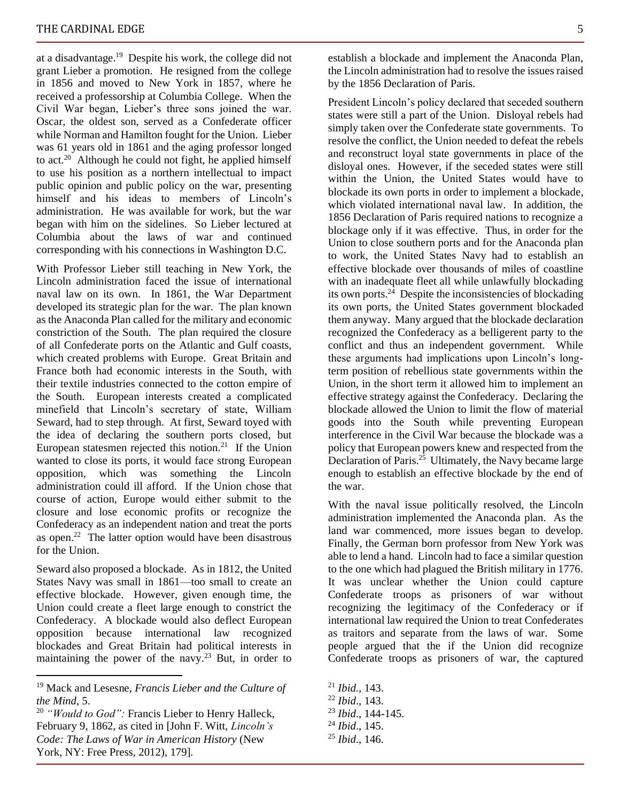at a disadvantage.<sup>19</sup> Despite his work, the college did not grant Lieber a promotion. He resigned from the college in 1856 and moved to New York in 1857, where he received a professorship at Columbia College. When the Civil War began, Lieber's three sons joined the war. Oscar, the oldest son, served as a Confederate officer while Norman and Hamilton fought for the Union. Lieber was 61 years old in 1861 and the aging professor longed to act.<sup>20</sup> Although he could not fight, he applied himself to use his position as a northern intellectual to impact public opinion and public policy on the war, presenting himself and his ideas to members of Lincoln's administration. He was available for work, but the war began with him on the sidelines. So Lieber lectured at Columbia about the laws of war and continued corresponding with his connections in Washington D.C.

With Professor Lieber still teaching in New York, the Lincoln administration faced the issue of international naval law on its own. In 1861, the War Department developed its strategic plan for the war. The plan known as the Anaconda Plan called for the military and economic constriction of the South. The plan required the closure of all Confederate ports on the Atlantic and Gulf coasts, which created problems with Europe. Great Britain and France both had economic interests in the South, with their textile industries connected to the cotton empire of the South. European interests created a complicated minefield that Lincoln's secretary of state, William Seward, had to step through. At first, Seward toyed with the idea of declaring the southern ports closed, but European statesmen rejected this notion.<sup>21</sup> If the Union wanted to close its ports, it would face strong European opposition, which was something the Lincoln administration could ill afford. If the Union chose that course of action, Europe would either submit to the closure and lose economic profits or recognize the Confederacy as an independent nation and treat the ports as open.<sup>22</sup> The latter option would have been disastrous for the Union.

Seward also proposed a blockade. As in 1812, the United States Navy was small in 1861—too small to create an effective blockade. However, given enough time, the Union could create a fleet large enough to constrict the Confederacy. A blockade would also deflect European opposition because international law recognized blockades and Great Britain had political interests in maintaining the power of the navy.<sup>23</sup> But, in order to

establish a blockade and implement the Anaconda Plan, the Lincoln administration had to resolve the issues raised by the 1856 Declaration of Paris.

President Lincoln's policy declared that seceded southern states were still a part of the Union. Disloyal rebels had simply taken over the Confederate state governments. To resolve the conflict, the Union needed to defeat the rebels and reconstruct loyal state governments in place of the disloyal ones. However, if the seceded states were still within the Union, the United States would have to blockade its own ports in order to implement a blockade, which violated international naval law. In addition, the 1856 Declaration of Paris required nations to recognize a blockage only if it was effective. Thus, in order for the Union to close southern ports and for the Anaconda plan to work, the United States Navy had to establish an effective blockade over thousands of miles of coastline with an inadequate fleet all while unlawfully blockading its own ports.<sup>24</sup> Despite the inconsistencies of blockading its own ports, the United States government blockaded them anyway. Many argued that the blockade declaration recognized the Confederacy as a belligerent party to the conflict and thus an independent government. While these arguments had implications upon Lincoln's longterm position of rebellious state governments within the Union, in the short term it allowed him to implement an effective strategy against the Confederacy. Declaring the blockade allowed the Union to limit the flow of material goods into the South while preventing European interference in the Civil War because the blockade was a policy that European powers knew and respected from the Declaration of Paris.<sup>25</sup> Ultimately, the Navy became large enough to establish an effective blockade by the end of the war.

With the naval issue politically resolved, the Lincoln administration implemented the Anaconda plan. As the land war commenced, more issues began to develop. Finally, the German born professor from New York was able to lend a hand. Lincoln had to face a similar question to the one which had plagued the British military in 1776. It was unclear whether the Union could capture Confederate troops as prisoners of war without recognizing the legitimacy of the Confederacy or if international law required the Union to treat Confederates as traitors and separate from the laws of war. Some people argued that the if the Union did recognize Confederate troops as prisoners of war, the captured

- <sup>21</sup> *Ibid.,* 143.
- <sup>22</sup> *Ibid*., 143.
- <sup>23</sup> *Ibid*., 144-145.
- <sup>24</sup> *Ibid*., 145.
- <sup>25</sup> *Ibid*., 146.

<sup>19</sup> Mack and Lesesne, *Francis Lieber and the Culture of the Mind*, 5.

<sup>20</sup> *"Would to God":* Francis Lieber to Henry Halleck, February 9, 1862, as cited in [John F. Witt, *Lincoln's Code: The Laws of War in American History* (New York, NY: Free Press, 2012), 179].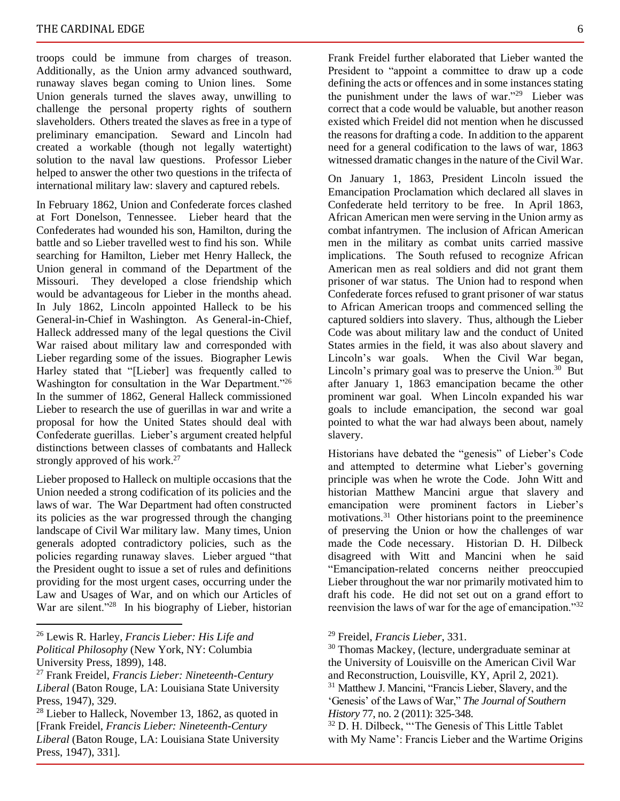troops could be immune from charges of treason. Additionally, as the Union army advanced southward, runaway slaves began coming to Union lines. Some Union generals turned the slaves away, unwilling to challenge the personal property rights of southern slaveholders. Others treated the slaves as free in a type of preliminary emancipation. Seward and Lincoln had created a workable (though not legally watertight) solution to the naval law questions. Professor Lieber helped to answer the other two questions in the trifecta of international military law: slavery and captured rebels.

In February 1862, Union and Confederate forces clashed at Fort Donelson, Tennessee. Lieber heard that the Confederates had wounded his son, Hamilton, during the battle and so Lieber travelled west to find his son. While searching for Hamilton, Lieber met Henry Halleck, the Union general in command of the Department of the Missouri. They developed a close friendship which would be advantageous for Lieber in the months ahead. In July 1862, Lincoln appointed Halleck to be his General-in-Chief in Washington. As General-in-Chief, Halleck addressed many of the legal questions the Civil War raised about military law and corresponded with Lieber regarding some of the issues. Biographer Lewis Harley stated that "[Lieber] was frequently called to Washington for consultation in the War Department."<sup>26</sup> In the summer of 1862, General Halleck commissioned Lieber to research the use of guerillas in war and write a proposal for how the United States should deal with Confederate guerillas. Lieber's argument created helpful distinctions between classes of combatants and Halleck strongly approved of his work.<sup>27</sup>

Lieber proposed to Halleck on multiple occasions that the Union needed a strong codification of its policies and the laws of war. The War Department had often constructed its policies as the war progressed through the changing landscape of Civil War military law. Many times, Union generals adopted contradictory policies, such as the policies regarding runaway slaves. Lieber argued "that the President ought to issue a set of rules and definitions providing for the most urgent cases, occurring under the Law and Usages of War, and on which our Articles of War are silent."<sup>28</sup> In his biography of Lieber, historian Frank Freidel further elaborated that Lieber wanted the President to "appoint a committee to draw up a code defining the acts or offences and in some instances stating the punishment under the laws of war."<sup>29</sup> Lieber was correct that a code would be valuable, but another reason existed which Freidel did not mention when he discussed the reasons for drafting a code. In addition to the apparent need for a general codification to the laws of war, 1863 witnessed dramatic changes in the nature of the Civil War.

On January 1, 1863, President Lincoln issued the Emancipation Proclamation which declared all slaves in Confederate held territory to be free. In April 1863, African American men were serving in the Union army as combat infantrymen. The inclusion of African American men in the military as combat units carried massive implications. The South refused to recognize African American men as real soldiers and did not grant them prisoner of war status. The Union had to respond when Confederate forces refused to grant prisoner of war status to African American troops and commenced selling the captured soldiers into slavery. Thus, although the Lieber Code was about military law and the conduct of United States armies in the field, it was also about slavery and Lincoln's war goals. When the Civil War began, Lincoln's primary goal was to preserve the Union.<sup>30</sup> But after January 1, 1863 emancipation became the other prominent war goal. When Lincoln expanded his war goals to include emancipation, the second war goal pointed to what the war had always been about, namely slavery.

Historians have debated the "genesis" of Lieber's Code and attempted to determine what Lieber's governing principle was when he wrote the Code. John Witt and historian Matthew Mancini argue that slavery and emancipation were prominent factors in Lieber's motivations.<sup>31</sup> Other historians point to the preeminence of preserving the Union or how the challenges of war made the Code necessary. Historian D. H. Dilbeck disagreed with Witt and Mancini when he said "Emancipation-related concerns neither preoccupied Lieber throughout the war nor primarily motivated him to draft his code. He did not set out on a grand effort to reenvision the laws of war for the age of emancipation."<sup>32</sup>

<sup>29</sup> Freidel, *Francis Lieber*, 331.

<sup>30</sup> Thomas Mackey, (lecture, undergraduate seminar at the University of Louisville on the American Civil War and Reconstruction, Louisville, KY, April 2, 2021). <sup>31</sup> Matthew J. Mancini, "Francis Lieber, Slavery, and the 'Genesis' of the Laws of War," *The Journal of Southern History* 77, no. 2 (2011): 325-348.

<sup>26</sup> Lewis R. Harley, *Francis Lieber: His Life and Political Philosophy* (New York, NY: Columbia University Press, 1899), 148.

<sup>27</sup> Frank Freidel, *Francis Lieber: Nineteenth-Century Liberal* (Baton Rouge, LA: Louisiana State University Press, 1947), 329.

<sup>28</sup> Lieber to Halleck, November 13, 1862, as quoted in [Frank Freidel, *Francis Lieber: Nineteenth-Century Liberal* (Baton Rouge, LA: Louisiana State University Press, 1947), 331].

<sup>32</sup> D. H. Dilbeck, "'The Genesis of This Little Tablet with My Name': Francis Lieber and the Wartime Origins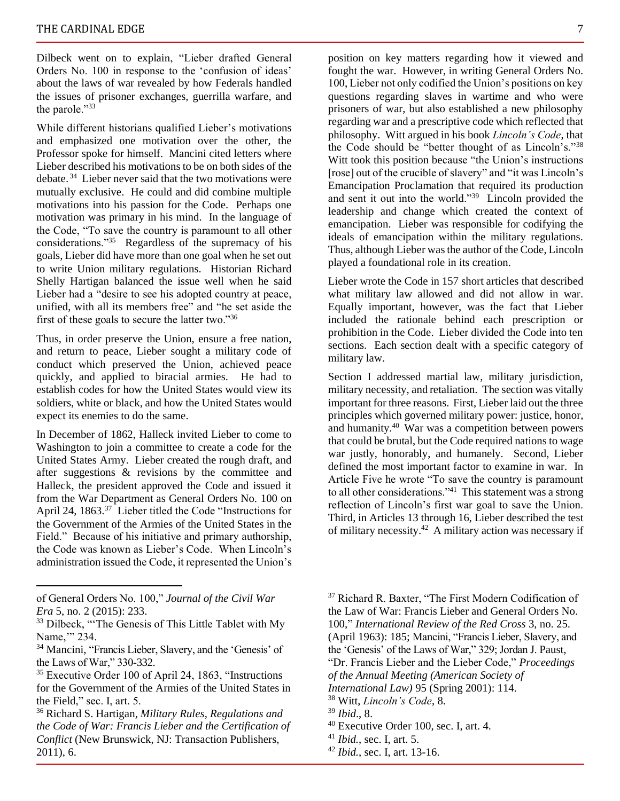Dilbeck went on to explain, "Lieber drafted General Orders No. 100 in response to the 'confusion of ideas' about the laws of war revealed by how Federals handled the issues of prisoner exchanges, guerrilla warfare, and the parole."33

While different historians qualified Lieber's motivations and emphasized one motivation over the other, the Professor spoke for himself. Mancini cited letters where Lieber described his motivations to be on both sides of the debate. <sup>34</sup> Lieber never said that the two motivations were mutually exclusive. He could and did combine multiple motivations into his passion for the Code. Perhaps one motivation was primary in his mind. In the language of the Code, "To save the country is paramount to all other considerations."<sup>35</sup> Regardless of the supremacy of his goals, Lieber did have more than one goal when he set out to write Union military regulations. Historian Richard Shelly Hartigan balanced the issue well when he said Lieber had a "desire to see his adopted country at peace, unified, with all its members free" and "he set aside the first of these goals to secure the latter two."<sup>36</sup>

Thus, in order preserve the Union, ensure a free nation, and return to peace, Lieber sought a military code of conduct which preserved the Union, achieved peace quickly, and applied to biracial armies. He had to establish codes for how the United States would view its soldiers, white or black, and how the United States would expect its enemies to do the same.

In December of 1862, Halleck invited Lieber to come to Washington to join a committee to create a code for the United States Army. Lieber created the rough draft, and after suggestions & revisions by the committee and Halleck, the president approved the Code and issued it from the War Department as General Orders No. 100 on April 24, 1863.<sup>37</sup> Lieber titled the Code "Instructions for the Government of the Armies of the United States in the Field." Because of his initiative and primary authorship, the Code was known as Lieber's Code. When Lincoln's administration issued the Code, it represented the Union's

position on key matters regarding how it viewed and fought the war. However, in writing General Orders No. 100, Lieber not only codified the Union's positions on key questions regarding slaves in wartime and who were prisoners of war, but also established a new philosophy regarding war and a prescriptive code which reflected that philosophy. Witt argued in his book *Lincoln's Code*, that the Code should be "better thought of as Lincoln's."<sup>38</sup> Witt took this position because "the Union's instructions [rose] out of the crucible of slavery" and "it was Lincoln's Emancipation Proclamation that required its production and sent it out into the world."<sup>39</sup> Lincoln provided the leadership and change which created the context of emancipation. Lieber was responsible for codifying the ideals of emancipation within the military regulations. Thus, although Lieber was the author of the Code, Lincoln

Lieber wrote the Code in 157 short articles that described what military law allowed and did not allow in war. Equally important, however, was the fact that Lieber included the rationale behind each prescription or prohibition in the Code. Lieber divided the Code into ten sections. Each section dealt with a specific category of military law.

played a foundational role in its creation.

Section I addressed martial law, military jurisdiction, military necessity, and retaliation. The section was vitally important for three reasons. First, Lieber laid out the three principles which governed military power: justice, honor, and humanity.<sup>40</sup> War was a competition between powers that could be brutal, but the Code required nations to wage war justly, honorably, and humanely. Second, Lieber defined the most important factor to examine in war. In Article Five he wrote "To save the country is paramount to all other considerations."<sup>41</sup> This statement was a strong reflection of Lincoln's first war goal to save the Union. Third, in Articles 13 through 16, Lieber described the test of military necessity.<sup>42</sup> A military action was necessary if

<sup>42</sup> *Ibid.*, sec. I, art. 13-16.

of General Orders No. 100," *Journal of the Civil War Era* 5, no. 2 (2015): 233.

<sup>&</sup>lt;sup>33</sup> Dilbeck, "The Genesis of This Little Tablet with My Name," 234.

<sup>34</sup> Mancini, "Francis Lieber, Slavery, and the 'Genesis' of the Laws of War," 330-332.

<sup>35</sup> Executive Order 100 of April 24, 1863, "Instructions for the Government of the Armies of the United States in the Field," sec. I, art. 5.

<sup>36</sup> Richard S. Hartigan, *Military Rules, Regulations and the Code of War: Francis Lieber and the Certification of Conflict* (New Brunswick, NJ: Transaction Publishers, 2011), 6.

<sup>&</sup>lt;sup>37</sup> Richard R. Baxter, "The First Modern Codification of the Law of War: Francis Lieber and General Orders No. 100," *International Review of the Red Cross* 3, no. 25. (April 1963): 185; Mancini, "Francis Lieber, Slavery, and the 'Genesis' of the Laws of War," 329; Jordan J. Paust, "Dr. Francis Lieber and the Lieber Code," *Proceedings of the Annual Meeting (American Society of* 

*International Law)* 95 (Spring 2001): 114.

<sup>38</sup> Witt, *Lincoln's Code*, 8.

<sup>39</sup> *Ibid*., 8.

<sup>40</sup> Executive Order 100, sec. I, art. 4.

<sup>41</sup> *Ibid.*, sec. I, art. 5.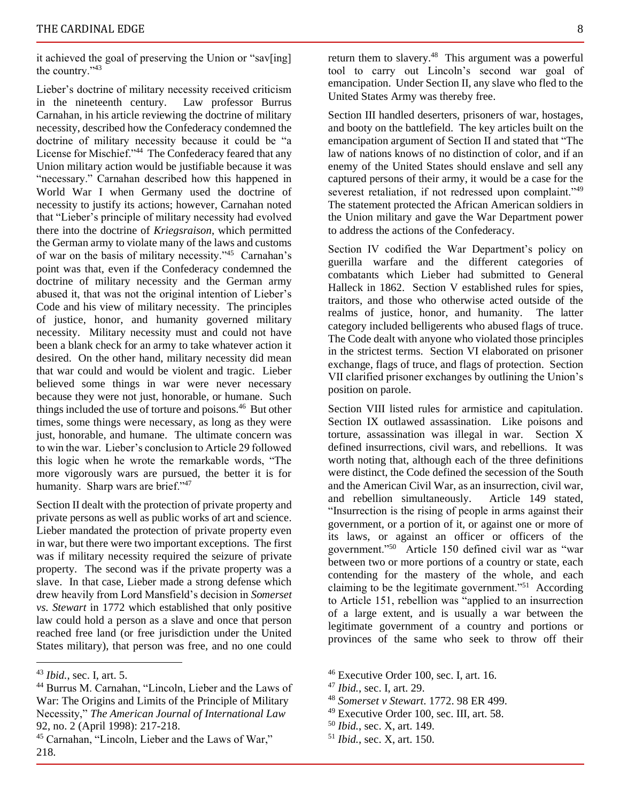it achieved the goal of preserving the Union or "sav[ing] the country."<sup>43</sup>

Lieber's doctrine of military necessity received criticism in the nineteenth century. Law professor Burrus Carnahan, in his article reviewing the doctrine of military necessity, described how the Confederacy condemned the doctrine of military necessity because it could be "a License for Mischief."<sup>44</sup> The Confederacy feared that any Union military action would be justifiable because it was "necessary." Carnahan described how this happened in World War I when Germany used the doctrine of necessity to justify its actions; however, Carnahan noted that "Lieber's principle of military necessity had evolved there into the doctrine of *Kriegsraison*, which permitted the German army to violate many of the laws and customs of war on the basis of military necessity."<sup>45</sup> Carnahan's point was that, even if the Confederacy condemned the doctrine of military necessity and the German army abused it, that was not the original intention of Lieber's Code and his view of military necessity. The principles of justice, honor, and humanity governed military necessity. Military necessity must and could not have been a blank check for an army to take whatever action it desired. On the other hand, military necessity did mean that war could and would be violent and tragic. Lieber believed some things in war were never necessary because they were not just, honorable, or humane. Such things included the use of torture and poisons.<sup>46</sup> But other times, some things were necessary, as long as they were just, honorable, and humane. The ultimate concern was to win the war. Lieber's conclusion to Article 29 followed this logic when he wrote the remarkable words, "The more vigorously wars are pursued, the better it is for humanity. Sharp wars are brief."<sup>47</sup>

Section II dealt with the protection of private property and private persons as well as public works of art and science. Lieber mandated the protection of private property even in war, but there were two important exceptions. The first was if military necessity required the seizure of private property. The second was if the private property was a slave. In that case, Lieber made a strong defense which drew heavily from Lord Mansfield's decision in *Somerset vs. Stewart* in 1772 which established that only positive law could hold a person as a slave and once that person reached free land (or free jurisdiction under the United States military), that person was free, and no one could

return them to slavery.<sup>48</sup> This argument was a powerful tool to carry out Lincoln's second war goal of emancipation. Under Section II, any slave who fled to the United States Army was thereby free.

Section III handled deserters, prisoners of war, hostages, and booty on the battlefield. The key articles built on the emancipation argument of Section II and stated that "The law of nations knows of no distinction of color, and if an enemy of the United States should enslave and sell any captured persons of their army, it would be a case for the severest retaliation, if not redressed upon complaint."49 The statement protected the African American soldiers in the Union military and gave the War Department power to address the actions of the Confederacy.

Section IV codified the War Department's policy on guerilla warfare and the different categories of combatants which Lieber had submitted to General Halleck in 1862. Section V established rules for spies, traitors, and those who otherwise acted outside of the realms of justice, honor, and humanity. The latter category included belligerents who abused flags of truce. The Code dealt with anyone who violated those principles in the strictest terms. Section VI elaborated on prisoner exchange, flags of truce, and flags of protection. Section VII clarified prisoner exchanges by outlining the Union's position on parole.

Section VIII listed rules for armistice and capitulation. Section IX outlawed assassination. Like poisons and torture, assassination was illegal in war. Section X defined insurrections, civil wars, and rebellions. It was worth noting that, although each of the three definitions were distinct, the Code defined the secession of the South and the American Civil War, as an insurrection, civil war, and rebellion simultaneously. Article 149 stated, "Insurrection is the rising of people in arms against their government, or a portion of it, or against one or more of its laws, or against an officer or officers of the government."<sup>50</sup> Article 150 defined civil war as "war between two or more portions of a country or state, each contending for the mastery of the whole, and each claiming to be the legitimate government."<sup>51</sup> According to Article 151, rebellion was "applied to an insurrection of a large extent, and is usually a war between the legitimate government of a country and portions or provinces of the same who seek to throw off their

- $46$  Executive Order 100, sec. I, art. 16.
- <sup>47</sup> *Ibid.*, sec. I, art. 29.
- <sup>48</sup> *Somerset v Stewart*. 1772. 98 ER 499.
- <sup>49</sup> Executive Order 100, sec. III, art. 58.
- <sup>50</sup> *Ibid.*, sec. X, art. 149.
- <sup>51</sup> *Ibid.*, sec. X, art. 150.

<sup>43</sup> *Ibid.*, sec. I, art. 5.

<sup>44</sup> Burrus M. Carnahan, "Lincoln, Lieber and the Laws of War: The Origins and Limits of the Principle of Military Necessity," *The American Journal of International Law* 92, no. 2 (April 1998): 217-218.

<sup>45</sup> Carnahan, "Lincoln, Lieber and the Laws of War," 218.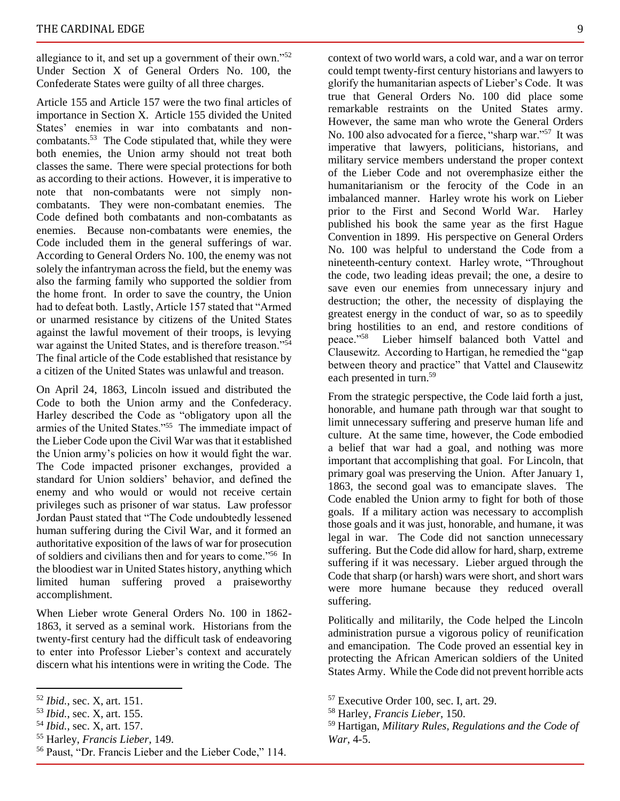allegiance to it, and set up a government of their own." $52$ Under Section X of General Orders No. 100, the Confederate States were guilty of all three charges.

Article 155 and Article 157 were the two final articles of importance in Section X. Article 155 divided the United States' enemies in war into combatants and noncombatants.<sup>53</sup> The Code stipulated that, while they were both enemies, the Union army should not treat both classes the same. There were special protections for both as according to their actions. However, it is imperative to note that non-combatants were not simply noncombatants. They were non-combatant enemies. The Code defined both combatants and non-combatants as enemies. Because non-combatants were enemies, the Code included them in the general sufferings of war. According to General Orders No. 100, the enemy was not solely the infantryman across the field, but the enemy was also the farming family who supported the soldier from the home front. In order to save the country, the Union had to defeat both. Lastly, Article 157 stated that "Armed or unarmed resistance by citizens of the United States against the lawful movement of their troops, is levying war against the United States, and is therefore treason."<sup>54</sup> The final article of the Code established that resistance by a citizen of the United States was unlawful and treason.

On April 24, 1863, Lincoln issued and distributed the Code to both the Union army and the Confederacy. Harley described the Code as "obligatory upon all the armies of the United States."<sup>55</sup> The immediate impact of the Lieber Code upon the Civil War was that it established the Union army's policies on how it would fight the war. The Code impacted prisoner exchanges, provided a standard for Union soldiers' behavior, and defined the enemy and who would or would not receive certain privileges such as prisoner of war status. Law professor Jordan Paust stated that "The Code undoubtedly lessened human suffering during the Civil War, and it formed an authoritative exposition of the laws of war for prosecution of soldiers and civilians then and for years to come."<sup>56</sup> In the bloodiest war in United States history, anything which limited human suffering proved a praiseworthy accomplishment.

When Lieber wrote General Orders No. 100 in 1862- 1863, it served as a seminal work. Historians from the twenty-first century had the difficult task of endeavoring to enter into Professor Lieber's context and accurately discern what his intentions were in writing the Code. The

<sup>56</sup> Paust, "Dr. Francis Lieber and the Lieber Code," 114.

context of two world wars, a cold war, and a war on terror could tempt twenty-first century historians and lawyers to glorify the humanitarian aspects of Lieber's Code. It was true that General Orders No. 100 did place some remarkable restraints on the United States army. However, the same man who wrote the General Orders No. 100 also advocated for a fierce, "sharp war."<sup>57</sup> It was imperative that lawyers, politicians, historians, and military service members understand the proper context of the Lieber Code and not overemphasize either the humanitarianism or the ferocity of the Code in an imbalanced manner. Harley wrote his work on Lieber prior to the First and Second World War. Harley published his book the same year as the first Hague Convention in 1899. His perspective on General Orders No. 100 was helpful to understand the Code from a nineteenth-century context. Harley wrote, "Throughout the code, two leading ideas prevail; the one, a desire to save even our enemies from unnecessary injury and destruction; the other, the necessity of displaying the greatest energy in the conduct of war, so as to speedily bring hostilities to an end, and restore conditions of peace."<sup>58</sup> Lieber himself balanced both Vattel and Clausewitz. According to Hartigan, he remedied the "gap between theory and practice" that Vattel and Clausewitz each presented in turn.<sup>59</sup>

From the strategic perspective, the Code laid forth a just, honorable, and humane path through war that sought to limit unnecessary suffering and preserve human life and culture. At the same time, however, the Code embodied a belief that war had a goal, and nothing was more important that accomplishing that goal. For Lincoln, that primary goal was preserving the Union. After January 1, 1863, the second goal was to emancipate slaves. The Code enabled the Union army to fight for both of those goals. If a military action was necessary to accomplish those goals and it was just, honorable, and humane, it was legal in war. The Code did not sanction unnecessary suffering. But the Code did allow for hard, sharp, extreme suffering if it was necessary. Lieber argued through the Code that sharp (or harsh) wars were short, and short wars were more humane because they reduced overall suffering.

Politically and militarily, the Code helped the Lincoln administration pursue a vigorous policy of reunification and emancipation. The Code proved an essential key in protecting the African American soldiers of the United States Army. While the Code did not prevent horrible acts

<sup>52</sup> *Ibid.*, sec. X, art. 151.

<sup>53</sup> *Ibid.*, sec. X, art. 155.

<sup>54</sup> *Ibid.*, sec. X, art. 157.

<sup>55</sup> Harley, *Francis Lieber*, 149.

<sup>57</sup> Executive Order 100, sec. I, art. 29.

<sup>58</sup> Harley, *Francis Lieber*, 150.

<sup>59</sup> Hartigan, *Military Rules, Regulations and the Code of War*, 4-5.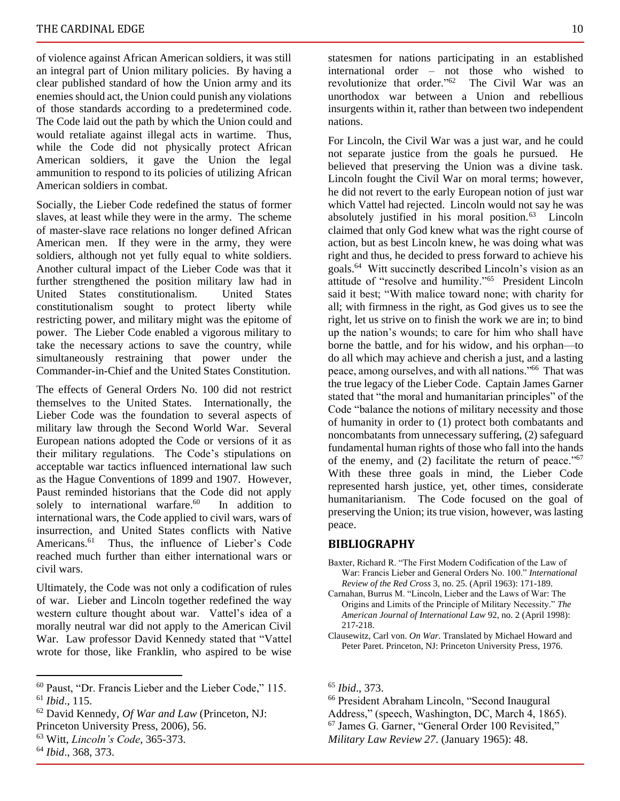of violence against African American soldiers, it was still an integral part of Union military policies. By having a clear published standard of how the Union army and its enemies should act, the Union could punish any violations of those standards according to a predetermined code. The Code laid out the path by which the Union could and would retaliate against illegal acts in wartime. Thus, while the Code did not physically protect African American soldiers, it gave the Union the legal ammunition to respond to its policies of utilizing African American soldiers in combat.

Socially, the Lieber Code redefined the status of former slaves, at least while they were in the army. The scheme of master-slave race relations no longer defined African American men. If they were in the army, they were soldiers, although not yet fully equal to white soldiers. Another cultural impact of the Lieber Code was that it further strengthened the position military law had in United States constitutionalism. United States constitutionalism sought to protect liberty while restricting power, and military might was the epitome of power. The Lieber Code enabled a vigorous military to take the necessary actions to save the country, while simultaneously restraining that power under the Commander-in-Chief and the United States Constitution.

The effects of General Orders No. 100 did not restrict themselves to the United States. Internationally, the Lieber Code was the foundation to several aspects of military law through the Second World War. Several European nations adopted the Code or versions of it as their military regulations. The Code's stipulations on acceptable war tactics influenced international law such as the Hague Conventions of 1899 and 1907. However, Paust reminded historians that the Code did not apply solely to international warfare.<sup>60</sup> In addition to international wars, the Code applied to civil wars, wars of insurrection, and United States conflicts with Native Americans.<sup>61</sup> Thus, the influence of Lieber's Code reached much further than either international wars or civil wars.

Ultimately, the Code was not only a codification of rules of war. Lieber and Lincoln together redefined the way western culture thought about war. Vattel's idea of a morally neutral war did not apply to the American Civil War. Law professor David Kennedy stated that "Vattel wrote for those, like Franklin, who aspired to be wise

statesmen for nations participating in an established international order – not those who wished to revolutionize that order."<sup>62</sup> The Civil War was an unorthodox war between a Union and rebellious insurgents within it, rather than between two independent nations.

For Lincoln, the Civil War was a just war, and he could not separate justice from the goals he pursued. He believed that preserving the Union was a divine task. Lincoln fought the Civil War on moral terms; however, he did not revert to the early European notion of just war which Vattel had rejected. Lincoln would not say he was absolutely justified in his moral position.<sup>63</sup> Lincoln claimed that only God knew what was the right course of action, but as best Lincoln knew, he was doing what was right and thus, he decided to press forward to achieve his goals.<sup>64</sup> Witt succinctly described Lincoln's vision as an attitude of "resolve and humility."<sup>65</sup> President Lincoln said it best; "With malice toward none; with charity for all; with firmness in the right, as God gives us to see the right, let us strive on to finish the work we are in; to bind up the nation's wounds; to care for him who shall have borne the battle, and for his widow, and his orphan—to do all which may achieve and cherish a just, and a lasting peace, among ourselves, and with all nations."<sup>66</sup> That was the true legacy of the Lieber Code. Captain James Garner stated that "the moral and humanitarian principles" of the Code "balance the notions of military necessity and those of humanity in order to (1) protect both combatants and noncombatants from unnecessary suffering, (2) safeguard fundamental human rights of those who fall into the hands of the enemy, and (2) facilitate the return of peace."<sup>67</sup> With these three goals in mind, the Lieber Code represented harsh justice, yet, other times, considerate humanitarianism. The Code focused on the goal of preserving the Union; its true vision, however, was lasting peace.

#### **BIBLIOGRAPHY**

- Baxter, Richard R. "The First Modern Codification of the Law of War: Francis Lieber and General Orders No. 100." *International Review of the Red Cross* 3, no. 25. (April 1963): 171-189.
- Carnahan, Burrus M. "Lincoln, Lieber and the Laws of War: The Origins and Limits of the Principle of Military Necessity." *The American Journal of International Law* 92, no. 2 (April 1998): 217-218.
- Clausewitz, Carl von. *On War*. Translated by Michael Howard and Peter Paret. Princeton, NJ: Princeton University Press, 1976.

<sup>66</sup> President Abraham Lincoln, "Second Inaugural

<sup>60</sup> Paust, "Dr. Francis Lieber and the Lieber Code," 115. <sup>61</sup> *Ibid*., 115.

<sup>62</sup> David Kennedy, *Of War and Law* (Princeton, NJ:

Princeton University Press, 2006), 56.

<sup>63</sup> Witt, *Lincoln's Code*, 365-373.

<sup>64</sup> *Ibid*., 368, 373.

<sup>65</sup> *Ibid*., 373.

Address," (speech, Washington, DC, March 4, 1865).

<sup>67</sup> James G. Garner, "General Order 100 Revisited,"

*Military Law Review 27*. (January 1965): 48.